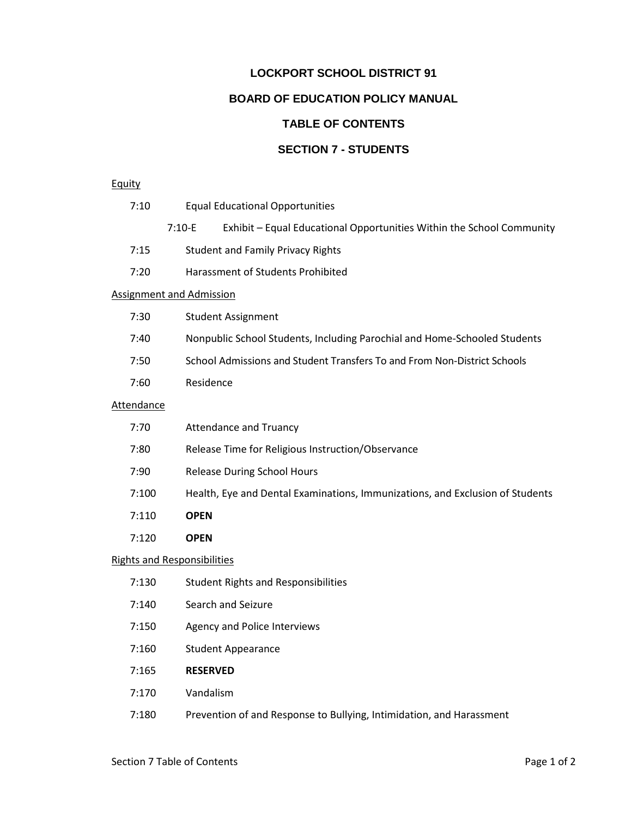## **LOCKPORT SCHOOL DISTRICT 91 BOARD OF EDUCATION POLICY MANUAL TABLE OF CONTENTS SECTION 7 - STUDENTS**

## **Equity**

|                                    | 7:10                              |                                   | <b>Equal Educational Opportunities</b>                                        |  |  |
|------------------------------------|-----------------------------------|-----------------------------------|-------------------------------------------------------------------------------|--|--|
|                                    |                                   | $7:10-E$                          | Exhibit - Equal Educational Opportunities Within the School Community         |  |  |
|                                    | 7:15                              |                                   | <b>Student and Family Privacy Rights</b>                                      |  |  |
|                                    | 7:20                              | Harassment of Students Prohibited |                                                                               |  |  |
|                                    | <b>Assignment and Admission</b>   |                                   |                                                                               |  |  |
|                                    | <b>Student Assignment</b><br>7:30 |                                   |                                                                               |  |  |
| 7:40                               |                                   |                                   | Nonpublic School Students, Including Parochial and Home-Schooled Students     |  |  |
| 7:50                               |                                   |                                   | School Admissions and Student Transfers To and From Non-District Schools      |  |  |
|                                    | 7:60                              | Residence                         |                                                                               |  |  |
| <b>Attendance</b>                  |                                   |                                   |                                                                               |  |  |
|                                    | 7:70                              |                                   | <b>Attendance and Truancy</b>                                                 |  |  |
|                                    | 7:80                              |                                   | Release Time for Religious Instruction/Observance                             |  |  |
|                                    | 7:90                              |                                   | <b>Release During School Hours</b>                                            |  |  |
|                                    | 7:100                             |                                   | Health, Eye and Dental Examinations, Immunizations, and Exclusion of Students |  |  |
|                                    | 7:110                             | <b>OPEN</b>                       |                                                                               |  |  |
|                                    | 7:120                             | <b>OPEN</b>                       |                                                                               |  |  |
| <b>Rights and Responsibilities</b> |                                   |                                   |                                                                               |  |  |
|                                    | 7:130                             |                                   | <b>Student Rights and Responsibilities</b>                                    |  |  |
|                                    | 7:140                             |                                   | Search and Seizure                                                            |  |  |
|                                    | 7:150                             |                                   | Agency and Police Interviews                                                  |  |  |
|                                    | 7:160                             |                                   | <b>Student Appearance</b>                                                     |  |  |
|                                    | 7:165                             | <b>RESERVED</b>                   |                                                                               |  |  |
|                                    | 7:170                             | Vandalism                         |                                                                               |  |  |
|                                    |                                   |                                   |                                                                               |  |  |

7:180 Prevention of and Response to Bullying, Intimidation, and Harassment